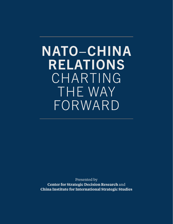# NATO−CHINA RELATIONS CHARTING THE WAY FORWARD

Presented by **Center for Strategic Decision Research** and **China Institute for International Strategic Studies**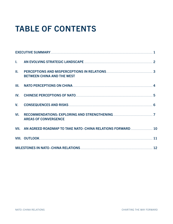## TABLE OF CONTENTS

| Ш.   | <b>BETWEEN CHINA AND THE WEST</b>                               |  |
|------|-----------------------------------------------------------------|--|
| III. | NATO PERCEPTIONS ON CHINA <b>CONCLUSTED ASSESSED ASSESSED</b> 4 |  |
| IV.  |                                                                 |  |
| V.   |                                                                 |  |
| VI.  | <b>AREAS OF CONVERGENCE</b>                                     |  |
|      | VII. AN AGREED ROADMAP TO TAKE NATO-CHINA RELATIONS FORWARD  10 |  |
|      |                                                                 |  |
|      |                                                                 |  |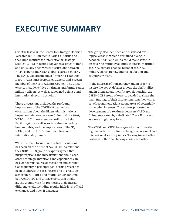## EXECUTIVE SUMMARY

Over the last year, the Center for Strategic Decision Research (CSDR) in Menlo Park, California and the China Institute for International Strategic Studies (CIISS) in Beijing convened a series of frank and unusually open virtual discussions between NATO experts and CIISS global security scholars. The NATO experts included former Assistant (or Deputy Assistant) Secretaries General and a recent member of the North Atlantic Council. The CIISS experts include its Vice Chairman and former senior military officers, as well as renowned defense and international security scholars.

These discussions included the profound implications of the COVID-19 pandemic; observations about the Biden administration's impact on relations between China and the West; NATO and Chinese views regarding the Asia-Pacific region as well as social values including human rights; and the implications of the G7, NATO, and EU–U.S. Summit meetings on international dynamics.

While the main focus of our virtual discussions has been on the future of NATO–China relations, the CSDR–CIISS group of experts agreed that misperceptions and miscalculations about each other's strategic intentions and capabilities can be a dangerous source of escalation and conflict. Consequently, a principal goal of this project has been to address these concerns and to create an atmosphere of trust and mutual understanding between NATO and China experts that might lay the groundwork for promoting dialogues at different levels, including regular high-level official exchanges and track II dialogues.

The group also identified and discussed five topical areas in which a sustained dialogue between NATO and China could make sense in discovering mutually aligning interests: maritime security, climate change, regional security, military transparency, and risk reduction and counterterrorism.

In the interests of transparency and in order to inspire the policy debates among the NATO allies and in China about their future relationship, the CSDR–CIISS group of experts decided to share the main findings of their discussions, together with a set of recommendations about areas of potentially converging interests. The experts propose the development of a roadmap between NATO and China, supported by a dedicated Track II process, as a meaningful way forward.

The CSDR and CIISS have agreed to continue their regular and constructive exchanges on regional and international security issues. Talking to each other is always better than talking about each other.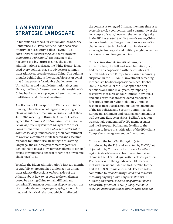## I. AN EVOLVING STRATEGIC LANDSCAPE

In his remarks at the 2021 virtual Munich Security Conference, U.S. President Joe Biden set a clear priority for his country's allies, saying, *"We must prepare together for a long-term strategic competition with China."* His statement did not come as a big surprise. Since the Biden administration's arrival at the White House, it has used every political stage to advocate a common transatlantic approach towards China. The guiding thought behind this is the strong, bipartisan belief that China poses a formidable challenge to the United States and a stable international system. Hence, the West's future strategic relationship with China has become a top agenda item in numerous multilateral and bilateral meetings.

A collective NATO response to China is still in the making. The allies do not regard it as posing a classical military threat, unlike Russia. But at their June 2021 meeting in Brussels, Alliance leaders agreed that "*China's stated ambitions and assertive behavior present systemic challenges to the rulesbased international order and to areas relevant to alliance security,"* underscoring their commitment to work on a common multi-faceted and assertive response to China's rise. Reacting to this strong language, the Chinese government vigorously denied that it posed a "systemic challenge to others," saying it would not sit back if others pose "systemic challenges" to it.

Yet after the Biden administration's first ten months of carefully choreographed diplomacy on China, transatlantic discussions on both sides of the Atlantic about how to respond to the challenges posed by a rising China remain difficult and complex. EU member countries display a spectrum of attitudes depending on geography, economic ties, and historical relations, which is reflected in

the consensus to regard China at the same time as a systemic rival, a competitor, and a partner. Over the last couple of years, however, the center of gravity in the EU has started to shift towards seeing China less as a benign trading partner than as a security challenge and technological rival, in view of its growing technological and military might, as well as its domestic and foreign policies.

Chinese investments in critical European infrastructure, the Belt and Road Initiative (BRI) and the 17+1 cooperation with the countries of central and eastern Europe have caused mounting suspicion in the EU. An EU investment screening mechanism has been operational since October 2020. In March 2021 the EU adopted the first sanctions on China in 30 years, by imposing restrictive measures on four Chinese individuals and one entity that are considered responsible for serious human rights violations. China, in response, introduced sanctions against members of the EU Political and Security Committee, the European Parliament and national parliaments, as well as some European NGOs. Beijing's reaction was strongly condemned by EU member states and the European Parliament, leading to the decision to freeze the ratification of the EU–China Comprehensive Agreement on Investment.

China and the Indo-Pacific region (a term introduced by the U.S. and accepted by NATO, but objected to by China which still uses Asia-Pacific region instead) have also become an important theme in the EU's dialogue with its closest partners. The item was on the agenda when EU leaders met with President Biden on 15 June 2021 for the first EU–U.S. Summit since 2014. The two sides committed to *"coordinating our shared concerns, including ongoing human rights violations in Xinjiang and Tibet; the erosion of autonomy and democratic processes in Hong Kong; economic coercion; disinformation campaigns and regional*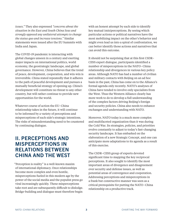*issues."* They also expressed *"concerns about the situation in the East and South China Seas and strongly opposed any unilateral attempts to change the status quo and increase tensions."* Similar statements were issued after the EU Summits with India and Japan.

The COVID-19 pandemic is interacting with global changes unseen in a century and exerting major impacts on international politics, world economy, the geostrategic landscape, and global governance. However, China believes that the trend of peace, development, cooperation, and win-win is irreversible. China stated repeatedly that it adheres to the path of peaceful development and pursues a mutually beneficial strategy of opening up. China's development will constitute no threat to any other country, but will rather continue to provide new opportunities for the world.

Whatever course of action the EU–China relationship takes in the future, it will continue to be informed by a variety of perceptions and misperceptions of each side's strategic intentions. The risks of misunderstanding need to be countered by continuing dialogue.

## II. PERCEPTIONS AND MISPERCEPTIONS IN RELATIONS BETWEEN CHINA AND THE WEST

"Perception is reality" is a well-known maxim of international diplomacy. Once relationships become more complex and even hostile, misperceptions fueled in this modern age by the power of the social media and the populist press go viral increasingly quickly. These misperceptions take root and are subsequently difficult to dislodge. Bridge-building and dialogue must therefore begin

with an honest attempt by each side to identify key mutual (mis)perceptions. By seeing which particular actions or political narratives have the most mobilizing impact on the other's behavior and might even lead us into a spiral of confrontation, we can better identify those actions and narratives that can avoid this outcome.

It should not be surprising that at this first CSDR– CIISS expert dialogue, participants identified a number of misperceptions in the NATO–China relationship and divergences in various key policy areas. Although NATO has had a number of civilian and military contacts with Beijing on an ad hoc basis in the past, China has come on to the Alliance's formal agenda only recently. NATO's analyses of China have tended to involve only specialists from the West. Thus the Western Alliance clearly has more work to do to develop a full understanding of the complex factors driving Beijing's foreign and security policies. China also needs to enhance exchanges and understanding with NATO.

Moreover, NATO today is a much more complex and multifaceted organization than it was during the Cold War. Its strategies, policies, and priorities evolve constantly to adjust to today's fast-changing security landscape. It has embarked on the elaboration of a new Strategic Concept, and one can anticipate more adaptations to its agenda as a result of this exercise.

The CSDR–CIISS group of experts devoted significant time to mapping the key reciprocal perceptions. It also sought to identify the most important areas of divergence and disagreement over security and defense issues, as well as potential areas of convergence and cooperation. Addressing perceptions and misperceptions in a frank but constructive manner was seen as a critical prerequisite for putting the NATO–China relationship on a productive track.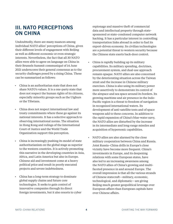## III. NATO PERCEPTIONS ON CHINA

Undoubtedly, there are many nuances among individual NATO allies' perceptions of China, given their different levels of engagement with Beijing as well as different economic or even strategic interests. Nevertheless, the fact that all 30 NATO allies were able to agree on language on China in their Brussels Summit communiqué of 14 June 2021 underscores their general consensus as to the security challenges posed by a rising China. These can be summarized as follows:

- China is an authoritarian state that does not share NATO's values. It is a one-party state that does not respect the human rights of its citizens, especially minority groups such as the Uighurs or the Tibetans.
- China does not respect international law and treaty commitments where these go against its national interests. It has a selective approach to observing international norms. The situation in Hong Kong and rulings of the International Court of Justice and the World Trade Organization support this perception.
- China is increasingly pushing its model of state authoritarianism on the global stage as superior to the western countries. It is actively promoting this narrative in the developing countries in Asia, Africa, and Latin America but also in Europe. Chinese aid and investment come at a heavy political price and result in poorly executed projects and severe indebtedness.
- China has a long-term strategy to dominate global supply chains and future core technologies. It seeks to gain control of innovative companies through its direct foreign investments, but it also resorts to cyber

espionage and massive theft of commercial data and intellectual property through statesponsored or state-condoned computer network hacking. It has a particular interest in controlling transportation links abroad in order to fuel its export-driven economy. Its civilian technologies are a potential threat to western security because the Chinese state exerts back-door control.

- China is rapidly building up its military capabilities. Its military spending, doctrines, procurement system, and dual-use approach remain opaque. NATO allies are also concerned by the deteriorating situation across the Taiwan strait and the increase in Chinese military exercises. China is also using its military power more assertively to demonstrate its control of the airspace and sea space around its borders. Its growing maritime and air presence in the Indo-Pacific region is a threat to freedom of navigation in recognized international waters. Its development of anti-satellite tests and of space weapons add to these concerns. In addition to the rapid expansion of China's blue-water navy, the NATO allies are disturbed by the increase in its intermediate and long-range missiles and acquisition of hypersonic capabilities.
- NATO allies are also alarmed by the close military cooperation between China and Russia. Joint Russia–China drills in Europe's close vicinity have become more frequent. China's investments in Europe, and its deepening relations with some European states, have also led to an increasing awareness among the NATO allies of China's growing and multifaceted presence in and around Europe. The overall impression is that all the various strands of Chinese statecraft—military, economic, technological, and diplomatic—are giving Beijing much greater geopolitical leverage over European affairs than European capitals have over Chinese affairs.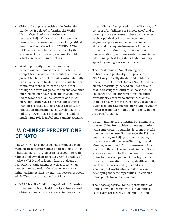- China did not play a positive role during the pandemic. It delayed informing the World Health Organization of the Coronavirus outbreak. Beijing's "vaccine diplomacy" has been primarily geared towards avoiding critical questions about the origin of COVID-19. The NATO allies have also been disturbed by the virulence of the Chinese government's public attacks on the western countries.
- Most importantly, there is a mounting perception that China is a serious systemic competitor. It is not seen as a military threat at present but hopes that it would evolve internally in a more democratic direction or would become committed to the rules-based liberal order through the forces of globalization and economic interdependence have been largely abandoned. Over the long run, China is viewed as a much more significant rival to the western countries than Russia because of its greater capacity for innovation and technological development, its military power projection capabilities and its much larger role in global trade and investment.

## IV. CHINESE PERCEPTIONS OF NATO

The CSDR–CIISS experts dialogue produced many valuable insights into Chinese perceptions of NATO. These can help the Alliance in its encounters with Chinese policymakers to better grasp the reality of today's NATO, and to focus a future dialogue on real policy disagreements as well as areas where interests are aligned, rather than on erroneous inherited impressions. Overall, Chinese perceptions of NATO can be summarized as follows:

• NATO is still a Cold War organization. It needs a threat to survive or legitimize its existence, and China is a convenient scapegoat to provide that

threat. China is being used to drive Washington's concept of an "Alliance of Democracies" and to cover up the weaknesses of these democracies, such as political polarization, economic stagnation, poor secondary education and skills, and inadequate investment in public infrastructure. Moreover, China's military modernization gives some western countries an additional pretext to push for higher military spending among its own members.

- The U.S. dominates NATO strategically, militarily, and politically. Europeans in NATO are politically divided and militarily uneven. The U.S. wants to turn NATO from an alliance essentially focused on Russia to one that increasingly prioritizes China as the key challenge and glue for cementing the future transatlantic security partnership. NATO is therefore likely to move from being a regional to a global alliance. Sooner or later it will inevitably increase its military profile and presence in the Asia-Pacific region.
- Western initiatives are nothing but attempts to prevent China from achieving strategic parity with some western countries, let alone overtake them in the long run. For instance, the U.S. has been pushing for Beijing to join the strategic nuclear arms talks between Washington and Moscow, even though China possesses only a fraction of the nuclear warheads in the U.S. and Russian arsenals. The U.S. has been criticizing China for its development of new hypersonic missiles, intermediate missiles, stealth aircraft, battlefield robotics, and cyber and space weapons; but Washington and its allies are developing the same capabilities. To criticize China points to double standards.
- The West's opposition to the "penetration" of Chinese civilian technologies is hypocritical. False claims of security vulnerabilities and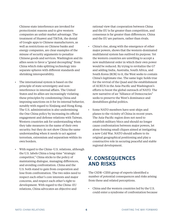Chinese state interference are invoked for protectionist reasons and to give western companies an unfair market advantage. The treatment of Huawei and TikTok, the denial of Google apps to Chinese manufacturers, as well as restrictions on Chinese banks and energy companies, are clear examples of the misuse of security arguments to penalize Chinese goods and services. Washington and its allies seem to favor a "grand decoupling" from China which risks splitting technology into separate spheres with different standards and shrinking interoperability.

- The international system is based on the principle of state sovereignty and noninterference in internal affairs. The United States and its allies are increasingly violating these principles by condemning China and imposing sanctions on it for its internal behavior, notably with regard to Xinjiang and Hong Kong. The U.S. administration is also undermining the One China policy by increasing its official engagement and defense relations with Taiwan. Western countries ask for understanding when they take measures in the name of their own security; but they do not show China the same understanding when it needs to act against terrorism, extremism and separatism within its own borders.
- With regard to the China–U.S. relations, although the U.S. labels China a long-time "strategic competitor," China sticks to the policy of maintaining dialogue, managing differences, and avoiding confrontation. China and the U.S. both stand to gain from cooperation and lose from confrontation. The two sides need to respect each other's core interests and major concerns, and respect each other's right to development. With regard to the China–EU relations, China advocates an objective and

rational view that cooperation between China and the EU is far greater than competition, and consensus is far greater than differences. China and the EU are partners, rather than rivals.

- China's rise, along with the emergence of other major powers, shows that the western-dominated multilateral system has outlived its purpose. Yet the western countries are unwilling to accept a new multilateral order in which their own power would be reduced. By trying to revitalize the G7 and adding India, Australia, South Africa, and South Korea (ROK) to it, the West seeks to contain China's legitimate rise. The same logic holds true for the revival of the Quad and the establishment of AUKUS in the Asia-Pacific and Washington's efforts to boost the global outreach of NATO. The new narrative of an "Alliance of Democracies" seeks to preserve the West's dominance and destabilizes global politics.
- Some NATO members have sent ships and planes to the vicinity of China in recent years. The Asia-Pacific region does not need to establish military blocs and should no longer cause confrontation between major powers, let alone forming small cliques aimed at instigating a new Cold War. NATO should adhere to its original geographical positioning and play a constructive role in securing peaceful and stable regional development.

## V. CONSEQUENCES AND RISKS

The CSDR–CIISS group of experts identified a number of potential consequences and risks arising from these and related perceptions.

• China and the western countries led by the U.S. could enter a syndrome of confrontation because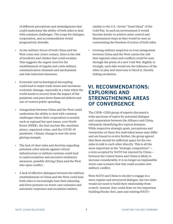of different perceptions and misjudgments that could undermine the ability of both sides to deal with common challenges. The scope for dialogue, cooperation, and accommodation would progressively dwindle.

- As the military forces of both China and the West come into closer contact, there is the risk of incidents and clashes that could escalate. This suggests the urgent need for the establishment of regular and crisis military communication channels and mechanisms and risk reduction measures.
- Economic and technological decoupling could lead to major trade losses and enormous economic damage, especially at a time when the world needs to recover from the impact of the pandemic and pare down financial deficits and out-of-control public spending.
- Antagonism between China and the West could undermine the ability to deal with common challenges where their cooperation is needed, such as regional hot spot issues, over North Korea (DPRK), the Iran nuclear file, maritime piracy, organized crime, and the COVID-19 pandemic. Climate change is now the most glaring example.
- The lack of clear rules and doctrine regarding potential cyber attacks against critical infrastructure or military systems could lead to rapid escalation and excessive retaliatory measures, possibly driving China and the West into open conflict.
- A lack of effective dialogues between the military establishments of China and the West could lead both sides to increasingly base their planning and force postures on worst-case scenarios and automatic responses and escalation ladders,

similar to the U.S.–Soviet "Dead Hand" of the Cold War. In such an environment it would become harder to achieve arms control and disarmament steps as they would be seen as constraining the freedom of action of both sides.

• Growing military suspicion or even antagonism between China and the West carries the risk that regional crises and conflicts could be seen through the prism of a new Cold War. Rightly or wrongly, each side would see the influence of the other at play and intervene to block it, thereby risking escalation.

## VI. RECOMMENDATIONS: EXPLORING AND STRENGTHENING AREAS OF CONVERGENCE

The CSDR–CIISS group of experts discussed a wide spectrum of topics for potential dialogue and cooperation between the Alliance and China, ultimately identifying five topical domains. While respective strategic goals, perceptions and viewpoints on these five individual issues may differ and are bound to evolve further, the group agreed that there should be sufficient space for the two sides to talk to each other directly. This is all the more important as the "strategic competition" a term accepted by NATO but rejected by China between the United States and China is likely to increase considerably; it is no longer an implausible worst-case scenario that this could escalate into military conflict.

Were NATO and China to decide to engage in a more regular and structured dialogue, the two sides would not need to build their relationship from scratch. Instead, they could draw on two important building blocks: first, past and existing NATO–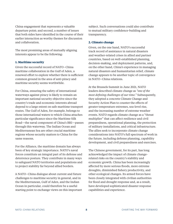China engagement that represents a valuable departure point; and second, a number of issues that both sides have identified in the course of their earlier interaction as worthy themes for discussion and collaboration.

The most promising areas of mutually aligning interests appear to be the following:

#### **1. Maritime security**

Given the successful record of NATO–China maritime collaboration in the Gulf of Aden, a renewed effort to explore whether there is sufficient common ground in the area of anti-piracy and maritime security seems worthwhile.

For China, ensuring the safety of international waterways against piracy is likely to remain an important national security objective since the country's trade and economic interests abroad depend to a large extent on safe maritime transport routes. The Gulf of Aden, for example, belongs to those international waters to which China attaches particular significance since the Maritime Silk Road—the naval component of China's BRI—passes through this waterway. The Indian Ocean and Mediterranean Sea are other crucial maritime regions whose security matters to China for the same reasons.

For the Alliance, the maritime domain has always been of key strategic importance. NATO's naval forces constitute an integral part of its defense and deterrence posture. They contribute in many ways to safeguard NATO territories and populations and to project stability far beyond allied borders.

A NATO–China dialogue about current and future challenges to maritime security in general, and in the Mediterranean, Gulf of Aden, and the Indian Ocean in particular, could therefore be a useful starting point to exchange views on this important subject. Such conversations could also contribute to mutual military confidence-building and transparency.

#### **2. Climate change**

Given, on the one hand, NATO's successful track record of assistance in natural disasters and weather-related crises in allied and partner countries, based on well-established planning, decision-making, and deployment patterns, and, on the other hand, China's experience in managing natural disasters and humanitarian relief, climate change appears to be another topic of convergence in NATO–China relations.

At the Brussels Summit in June 2021, NATO leaders described climate change as *"one of the most defining challenges of our time."* Subsequently, they adopted a concrete Climate Change and Security Action Plan to counter the effects of greater temperature extremes, sea-level rise, and the increasing number of extreme weather events. NATO regards climate change as a "threat multiplier" that can affect resilience and civil preparedness, operational planning, the protection of military installations, and critical infrastructure. The allies seek to incorporate climate change considerations into NATO's full spectrum of work in the future, including defense planning, capability development, and civil preparedness and exercises.

The Chinese government, for its part, has long acknowledged the impact of climate changerelated risks on the country's stability and economic growth. China has been increasingly affected by more serious floods, more extreme droughts, diminished fishery productivity, and other ecological changes. Its armed forces have been closely integrated with civilian authorities for flood and drought response and, as a result, have developed sophisticated disaster response capabilities and experience.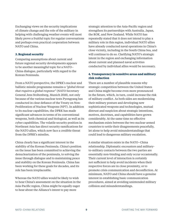Exchanging views on the security implications of climate change and the role of the military in helping with challenging weather events will most likely prove a fruitful topic for regular conversations and perhaps even practical cooperation between NATO and China.

#### **3. Regional security**

Comparing assumptions about current and future regional security developments appears to be another meaningful topic for a NATO– China dialogue, particularly with regard to the Korean Peninsula.

From a NATO perspective, the DPRK's nuclear and ballistic missile programme remains a *"global threat that requires a global response"* (NATO Secretary General Jens Stoltenberg, Munich 2018), not only because of the various nuclear tests Pyongyang has conducted in clear defiance of the Treaty on Non-Proliferation of Nuclear Weapons (NPT). In addition to its nuclear capabilities, the DPRK has made significant advances in terms of its conventional weapons, both chemical and biological, as well as its cyber capabilities. The volatile security position in Northeast Asia has direct security ramifications for the NATO allies, which now face a credible threat from the DPRK's missiles.

China clearly has a significant interest in the stability of the Korean Peninsula. China's position on the issue has been committed to achieving the denuclearization of the peninsula, to solving the issue through dialogue and to maintaining peace and stability on the Korean Peninsula. China has been working for these goals for decades, and its role has been irreplaceable.

Whereas the NATO allies would be likely to wish to hear China's assessment on the situation in the Asia-Pacific region, China might be equally eager to hear about the Alliance's intent to pay more

strategic attention to the Asia-Pacific region and strengthen its partnerships with Australia, Japan, the ROK, and New Zealand. While NATO has repeatedly stated that it does not intend to play a military role in this region, individual NATO allies have already conducted naval operations in China's close vicinity, including in the South China Sea, and will continue to do so. Clarifying NATO's strategic intent in the region and exchanging information about current and planned naval activities conducted by individual allies would be necessary.

#### **4. Transparency in sensitive areas and military risk reduction**

There are a number of plausible reasons why strategic competition between the United States and China might become even more pronounced in the future, which, in turn, could increase the risk of military conflict. As both sides are modernizing their military posture and developing new sophisticated weapons and technologies, mutual distrust and suspicion about strategic intentions, motives, doctrines, and capabilities have grown considerably. At the same time no effective mechanism exists between the two nuclear-armed countries to settle their disagreements peacefully, let alone to help avoid misunderstandings that could lead to dangerous military escalation.

A similar situation exists in the NATO–China relationship. Diplomatic encounters and militaryto-military contacts between the two parties are essentially non-binding and only occur occasionally. Their current level of interaction is certainly not sufficient to help avoid incidents when their respective forces are in close proximity, or to promote crisis communication and deconfliction. At minimum, NATO and China should have a genuine interest in establishing basic communication procedures, aimed at avoiding unintended military collision and misunderstandings.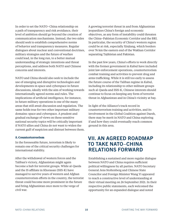In order to set the NATO–China relationship on a path of transparency and risk avoidance, their level of ambition should go beyond the creation of communication mechanisms. Instead, the two sides should seek to establish comprehensive norms of behavior and transparency measures. Regular dialogues about nuclear and conventional doctrines, military strategies and the future of warfare could lead, in the long run, to a better mutual understanding of strategic intentions and threat perceptions, and address both NATO and Chinese concerns and interests.

NATO and China should also seek to include the use of emerging and disruptive technologies and developments in space and cyberspace in future discussions, ideally with the aim of working towards internationally agreed norms and rules. The implications of artificial intelligence, for instance, in future military operations is one of the many areas that still await discussion and regulation. The same holds true for two other important military domains: space and cyberspace. A prudent and gradual exchange of views on these sensitive national security topics will be critically important if NATO allies and China do not want to widen the current gulf of suspicion and distrust between them.

#### **5. Counterterrorism**

In the foreseeable future, terrorism is likely to remain one of the critical security challenges for international stability.

After the withdrawal of western forces and the Taliban's victory, Afghanistan might again become a hub for terrorist groups. While al-Qaeda and the IS affiliate in Khorasan (ISIS-K) have managed to survive years of western and Afghan counterterrorism efforts in the country, the terrorist threat could become more prominent in the future and bring Afghanistan once more to the verge of civil war.

A growing terrorist threat in and from Afghanistan jeopardizes China's foreign and economic objectives, as any form of instability could threaten the China–Pakistan Economic Corridor and the BRI. In particular, the security of China's western region could be at risk, especially Xinjiang, which borders over 76 km the eastern end of the Wakhan Corridor separating Tajikistan and Pakistan.

In the past few years, China's efforts to work directly with the former government in Kabul have included joint law enforcement operations, counterterrorism combat training and activities to prevent drug and arms trafficking. While it is still too early to assess the future course of the Taliban regime in Kabul, including its relationship to other militant groups such al-Qaeda and ISIS-K, Chinese interests should continue to focus on keeping any form of terrorist threat in Afghanistan and in China's vicinity at bay.

In light of the Alliance's track record in counterterrorism training and activities, and its involvement in the Global Coalition against Daesh, there may be merit in NATO and China exploring if and how they could eventually reach common ground in this area.

## VII. AN AGREED ROADMAP TO TAKE NATO−CHINA RELATIONS FORWARD

Establishing a sustained and more regular dialogue between NATO and China requires sufficient political willingness by all parties. NATO Secretary General Jens Stoltenberg and Chinese State Councilor and Foreign Minister Wang Yi appeared to reach a constructive level of understanding at their virtual meeting on 26 September 2021. In their respective public statements, each welcomed the opportunity for an expanded dialogue and noted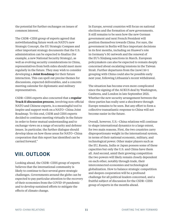the potential for further exchanges on issues of common interest.

The CSDR–CIISS group of experts agreed that notwithstanding future work on NATO's new Strategic Concept, the EU Strategic Compass and other important strategy documents that the U.S. administration can be expected to finalize (for example, a new National Security Strategy), as well as evolving security considerations in China, representatives from both sides should meet more regularly in the future. They may wish to consider developing a **Joint Roadmap** for their future interaction. This can spell out precise themes for discussions, expected deliverables, and a concrete meeting calendar for diplomatic and military representatives.

CSDR–CIISS experts also concurred that a **regular Track II discussion process**, involving non-official NATO and Chinese experts, is a meaningful tool to inspire and support work on a NATO–China Joint Roadmap. To this end, CSDR and CIISS experts decided to continue meeting virtually in the future in order to foster mutual understanding and to exchange views on a range of security and defense issues. In particular, the further dialogue should develop ideas on how those areas for NATO–China cooperation that this report has identified can be carried forward."

## VIII. OUTLOOK

Looking ahead, the CSDR–CIISS group of experts believes that the international community is likely to continue to face several grave strategic challenges. Governments around the globe can be expected to pay particular attention to the recovery of their economies from the COVID-19 pandemic and to develop sustained efforts to mitigate the effects of climate change.

In Europe, several countries will focus on national elections and the formation of new governments. It still remains to be seen how the new German government and next French President will position themselves towards China. For sure, the government in Berlin will face important decisions in its first months, including on Huawei's role in Germany's 5G network and the renewal of the EU's Xinjiang sanctions in March. European policymakers can also be expected to remain deeply concerned about escalating tensions in the Taiwan Strait. Further departures from the (now) 16+1 grouping with China could also be possible early next year, following Lithuania's recent withdrawal.

The situation has become even more complicated since the signing of the AUKUS deal by Washington, Canberra, and London in late September 2021. Whether the new security arrangement between the three parties has really sent a shockwave through Europe remains to be seen. But any effort to form a collective transatlantic response to China will not become easier in the future.

Overall, however, U.S.–China relations will continue to shape international dynamics to a large extent, for two main reasons. First, the two countries carry disproportionate weight in the international system, in terms of their national economic, military, and technological power. Other major players such as the EU, Russia, India or Japan possess some of these capacities but only the U.S. and China have them all. And second, amid their growing competition the two powers will likely remain closely dependent on each other, notably through trade, their interconnected economies and technological globalization. How to balance strategic competition and deepen cooperation will be a profound challenge for all political leaders concerned, and a fruitful subject of discussion for the CSDR–CIISS group of experts in the months ahead.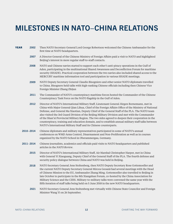## MILESTONES IN NATO−CHINA RELATIONS

| <b>YEAR</b> | 2002 | Then NATO Secretary General Lord George Robertson welcomed the Chinese Ambassador for the<br>first time at NATO headquarters.                                                                                                                                                                                                                                                          |
|-------------|------|----------------------------------------------------------------------------------------------------------------------------------------------------------------------------------------------------------------------------------------------------------------------------------------------------------------------------------------------------------------------------------------|
|             | 2007 | A Director General of the Chinese Ministry of Foreign Affairs paid a visit to NATO and highlighted<br>Beijing's interest in more regular staff-to-staff contacts.                                                                                                                                                                                                                      |
|             | 2008 | NATO and Chinese navies started to support each other's anti-piracy operations in the Gulf of<br>Aden, participating in the multinational Shared Awareness and Deconfliction Forum for maritime<br>security (SHADE). Practical cooperation between the two navies also included shared access to the<br>MERCURY maritime information tool and participation in various SHADE meetings. |
|             | 2009 | NATO Deputy Secretary General Claudio Bisogniero and other senior NATO diplomats travelled<br>to China. Bisognero held talks with high-ranking Chinese officials including then Chinese Vice<br>Foreign Minister Zhang Zhijun                                                                                                                                                          |
|             | 2011 | The Commander of NATO's counterpiracy maritime forces hosted the Commander of the Chinese<br>Counterpiracy Task Force on the NATO flagship in the Gulf of Aden.                                                                                                                                                                                                                        |

Director of NATO's International Military Staff, Lieutenant General Jürgen Bornemann, met in China with Major General Qian Lihua, Chief of the Foreign Affairs Office of the Ministry of National Defense, and General Ma Xiaotian, Deputy Chief of the General Staff of the PLA. The NATO team also visited the 3rd Guard Division of the Beijing Military Division and met with the Commander of the Shan'xi Provincial Military Region. The two sides agreed to deepen their cooperation in the counterpiracy, training and education domain, and to establish annual military staff talks between NATO's International Military Staff and its Chinese counterparts. 2012

Chinese diplomats and military representatives participated in some of NATO's annual conferences on WMD Arms Control, Disarmament and Non-Proliferation as well as in courses organized by the NATO School in Oberammergau, Germany. 2010–2014

- Chinese journalists, academics and officials paid visits to NATO headquarters and published articles in the *NATO Review*. 2011–2014
	- Director of NATO's International Military Staff, Air Marshal Christopher Harper, met in China with General Yi Xiaoguang, Deputy Chief of the General Staff of the PLA. The fourth defense and security policy dialogue between China and NATO was held in Beijing. 2015
	- NATO Secretary General Jens Stoltenberg, then NATO Deputy Secretary Rose Gottemoeller and the current NATO Deputy Secretary General Mircea Geoană had several meetings with the Head of Chinese Mission to the EU, Ambassador Zhang Ming. Gottemoeller also travelled to Beijing in late October to participate in the 8th Xiangshan Forum, co-hosted by the China Association for Military Science and the CIISS. Military-to-military talks were convened the same year with the fifth iteration of staff talks being held on 5 June 2018 in the new NATO headquarters. 2018
	- NATO Secretary General Jens Stoltenberg met virtually with Chinese State Councilor and Foreign Minister Wang Yi on 26 September. 2021